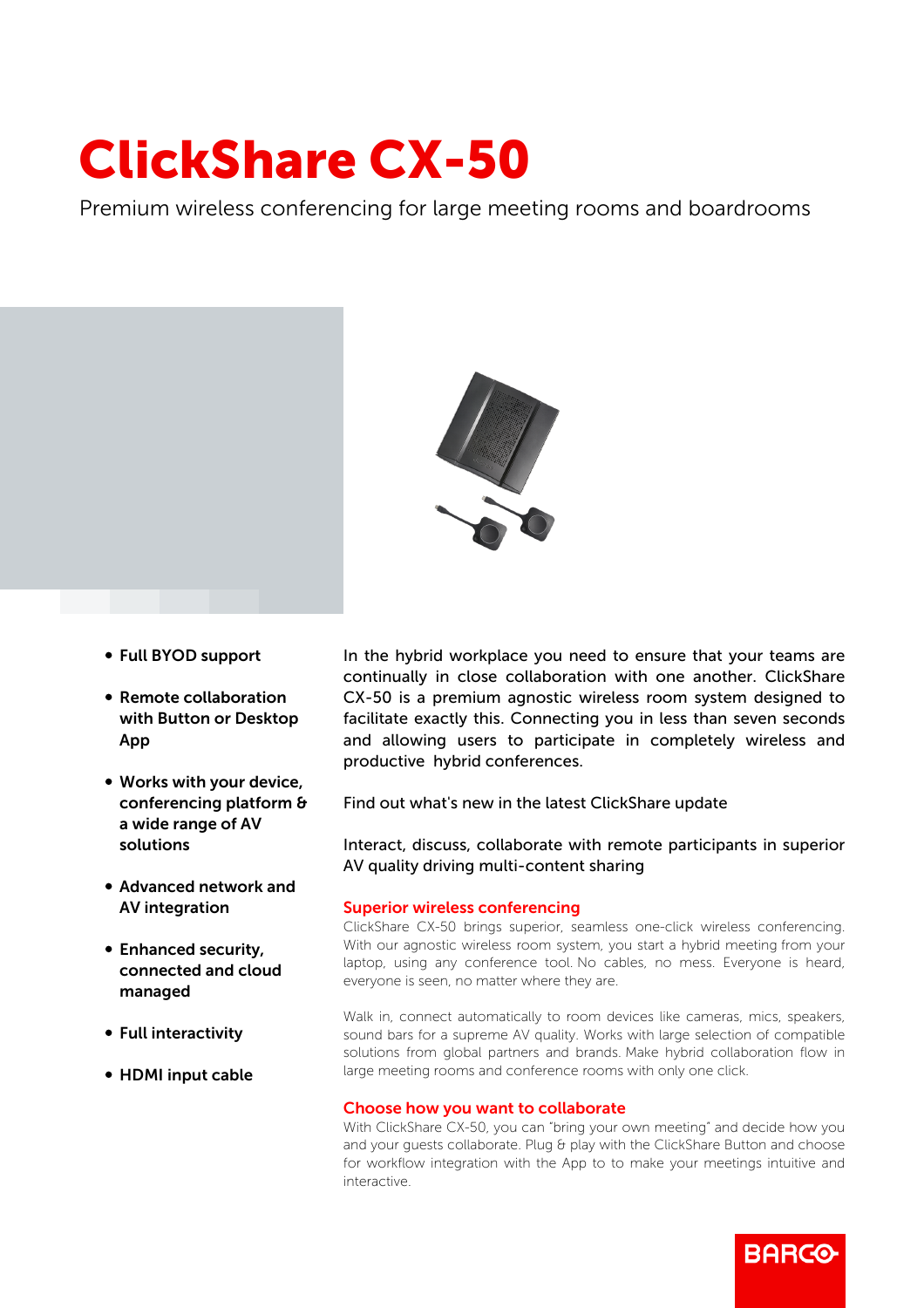# ClickShare CX-50

Premium wireless conferencing for large meeting rooms and boardrooms



- b Full BYOD support
- Remote collaboration with Button or Desktop App
- Works with your device, conferencing platform & a wide range of AV solutions
- b Advanced network and AV integration
- Enhanced security, connected and cloud managed
- Full interactivity
- HDMI input cable

In the hybrid workplace you need to ensure that your teams are continually in close collaboration with one another. ClickShare CX-50 is a premium agnostic wireless room system designed to facilitate exactly this. Connecting you in less than seven seconds and allowing users to participate in completely wireless and productive hybrid conferences.

Find out what's new in the latest ClickShare update

Interact, discuss, collaborate with remote participants in superior AV quality driving multi-content sharing

# Superior wireless conferencing

ClickShare CX-50 brings superior, seamless one-click wireless conferencing. With our agnostic wireless room system, you start a hybrid meeting from your laptop, using any conference tool. No cables, no mess. Everyone is heard, everyone is seen, no matter where they are.

Walk in, connect automatically to room devices like cameras, mics, speakers, sound bars for a supreme AV quality. Works with large selection of compatible solutions from global partners and brands. Make hybrid collaboration flow in large meeting rooms and conference rooms with only one click.

## Choose how you want to collaborate

With ClickShare CX-50, you can "bring your own meeting" and decide how you and your quests collaborate. Plug & play with the ClickShare Button and choose for workflow integration with the App to to make your meetings intuitive and interactive.

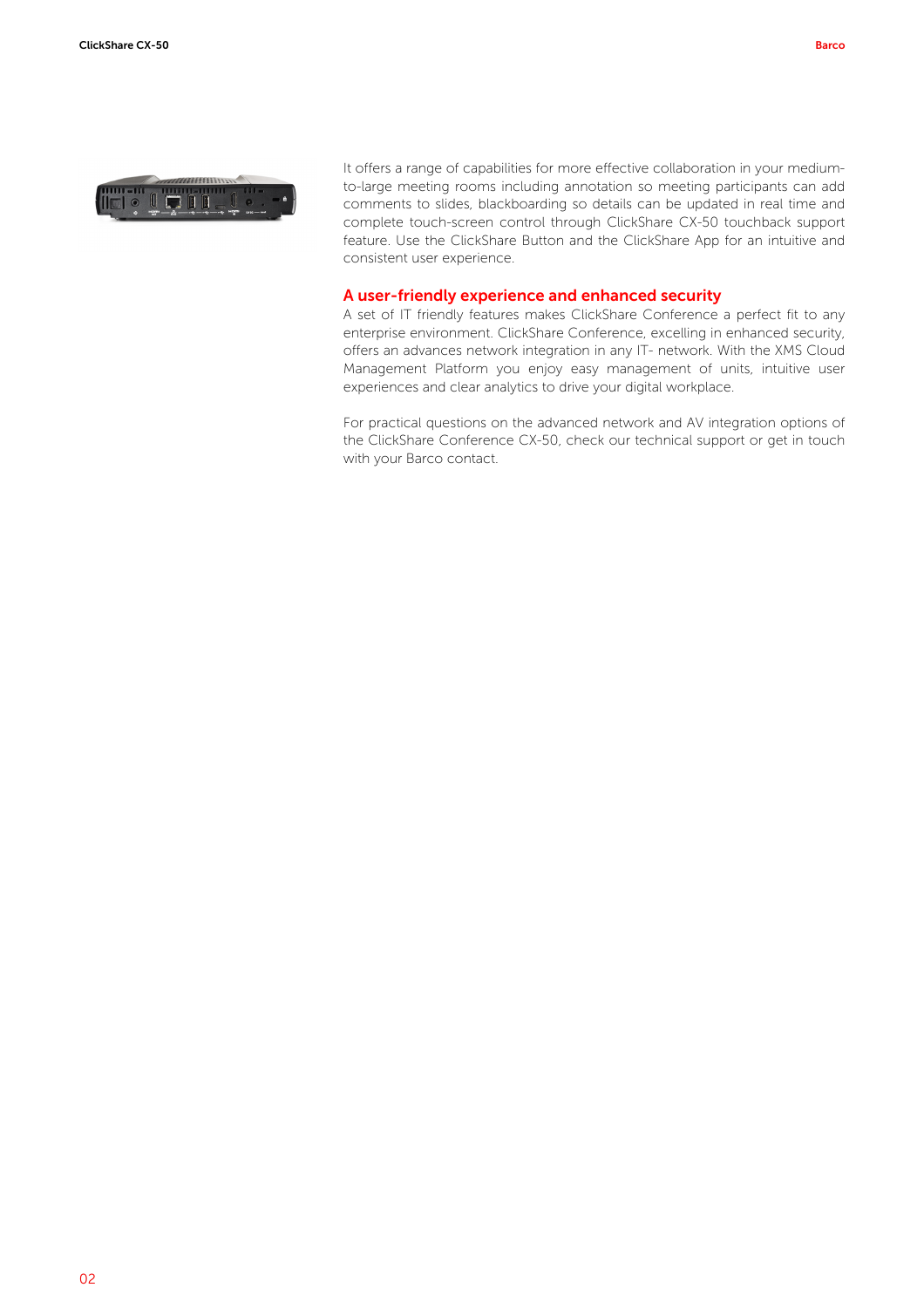

It offers a range of capabilities for more effective collaboration in your mediumto-large meeting rooms including annotation so meeting participants can add comments to slides, blackboarding so details can be updated in real time and complete touch-screen control through ClickShare CX-50 touchback support feature. Use the ClickShare Button and the ClickShare App for an intuitive and consistent user experience.

### A user-friendly experience and enhanced security

A set of IT friendly features makes ClickShare Conference a perfect fit to any enterprise environment. ClickShare Conference, excelling in enhanced security, offers an advances network integration in any IT- network. With the XMS Cloud Management Platform you enjoy easy management of units, intuitive user experiences and clear analytics to drive your digital workplace.

For practical questions on the advanced network and AV integration options of the ClickShare Conference CX-50, check our technical support or get in touch with your Barco contact.